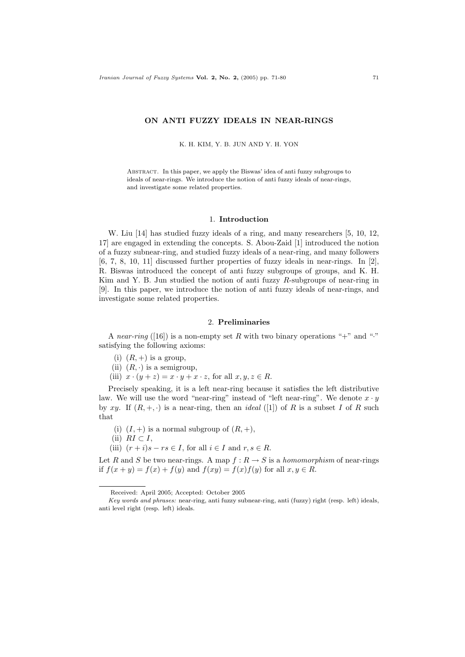# ON ANTI FUZZY IDEALS IN NEAR-RINGS

K. H. KIM, Y. B. JUN AND Y. H. YON

Abstract. In this paper, we apply the Biswas' idea of anti fuzzy subgroups to ideals of near-rings. We introduce the notion of anti fuzzy ideals of near-rings, and investigate some related properties.

## 1. Introduction

W. Liu [14] has studied fuzzy ideals of a ring, and many researchers [5, 10, 12, 17] are engaged in extending the concepts. S. Abou-Zaid [1] introduced the notion of a fuzzy subnear-ring, and studied fuzzy ideals of a near-ring, and many followers  $[6, 7, 8, 10, 11]$  discussed further properties of fuzzy ideals in near-rings. In  $[2]$ , R. Biswas introduced the concept of anti fuzzy subgroups of groups, and K. H. Kim and Y. B. Jun studied the notion of anti fuzzy R-subgroups of near-ring in [9]. In this paper, we introduce the notion of anti fuzzy ideals of near-rings, and investigate some related properties.

### 2. Preliminaries

A near-ring ([16]) is a non-empty set R with two binary operations "+" and "." satisfying the following axioms:

- (i)  $(R, +)$  is a group,
- (ii)  $(R, \cdot)$  is a semigroup,
- (iii)  $x \cdot (y + z) = x \cdot y + x \cdot z$ , for all  $x, y, z \in R$ .

Precisely speaking, it is a left near-ring because it satisfies the left distributive law. We will use the word "near-ring" instead of "left near-ring". We denote  $x \cdot y$ by xy. If  $(R, +, \cdot)$  is a near-ring, then an *ideal* ([1]) of R is a subset I of R such that

- (i)  $(I,+)$  is a normal subgroup of  $(R,+)$ ,
- (ii)  $RI \subset I$ ,
- (iii)  $(r + i)s rs \in I$ , for all  $i \in I$  and  $r, s \in R$ .

Let R and S be two near-rings. A map  $f: R \to S$  is a homomorphism of near-rings if  $f(x + y) = f(x) + f(y)$  and  $f(xy) = f(x)f(y)$  for all  $x, y \in R$ .

Received: April 2005; Accepted: October 2005

Key words and phrases: near-ring, anti fuzzy subnear-ring, anti (fuzzy) right (resp. left) ideals, anti level right (resp. left) ideals.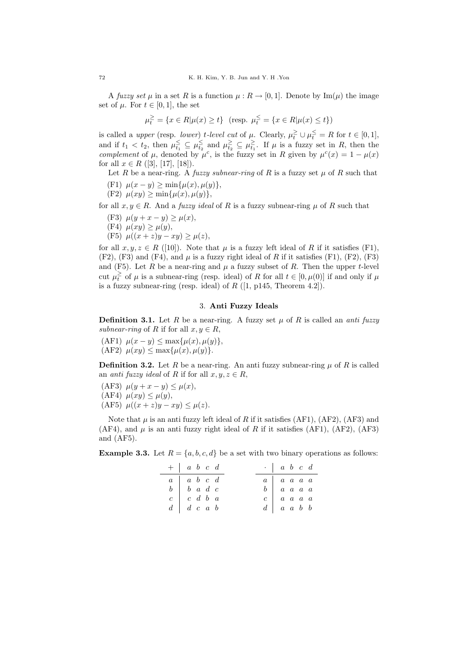A fuzzy set  $\mu$  in a set R is a function  $\mu : R \to [0, 1]$ . Denote by Im( $\mu$ ) the image set of  $\mu$ . For  $t \in [0,1]$ , the set

$$
\mu_t^{\geq} = \{ x \in R | \mu(x) \geq t \} \quad (\text{resp. } \mu_t^{\leq} = \{ x \in R | \mu(x) \leq t \})
$$

is called a *upper* (resp. *lower*) t-level cut of  $\mu$ . Clearly,  $\mu_t^{\geq} \cup \mu_t^{\leq} = R$  for  $t \in [0,1]$ , and if  $t_1 < t_2$ , then  $\mu_{t_1} \subseteq \mu_{t_2} \subseteq \mu_{t_2} \subseteq \mu_{t_1} \subseteq \mu_{t_1}$ . If  $\mu$  is a fuzzy set in R, then the complement of  $\mu$ , denoted by  $\mu^{c}$ , is the fuzzy set in R given by  $\mu^{c}(x) = 1 - \mu(x)$ for all  $x \in R$  ([3], [17], [18]).

Let R be a near-ring. A fuzzy subnear-ring of R is a fuzzy set  $\mu$  of R such that

- (F1)  $\mu(x y) \ge \min{\mu(x), \mu(y)},$
- (F2)  $\mu(xy) \ge \min\{\mu(x), \mu(y)\},\$

for all  $x, y \in R$ . And a *fuzzy ideal* of R is a fuzzy subnear-ring  $\mu$  of R such that

(F3) 
$$
\mu(y + x - y) \ge \mu(x),
$$

- (F4)  $\mu(xy) \geq \mu(y)$ ,
- (F5)  $\mu((x+z)y xy) \ge \mu(z),$

for all  $x, y, z \in R$  ([10]). Note that  $\mu$  is a fuzzy left ideal of R if it satisfies (F1),  $(F2)$ ,  $(F3)$  and  $(F4)$ , and  $\mu$  is a fuzzy right ideal of R if it satisfies  $(F1)$ ,  $(F2)$ ,  $(F3)$ and (F5). Let R be a near-ring and  $\mu$  a fuzzy subset of R. Then the upper t-level cut  $\mu_t^{\geq}$  of  $\mu$  is a subnear-ring (resp. ideal) of R for all  $t \in [0, \mu(0)]$  if and only if  $\mu$ is a fuzzy subnear-ring (resp. ideal) of  $R$  ([1, p145, Theorem 4.2]).

#### 3. Anti Fuzzy Ideals

**Definition 3.1.** Let R be a near-ring. A fuzzy set  $\mu$  of R is called an *anti fuzzy* subnear-ring of R if for all  $x, y \in R$ ,

(AF1)  $\mu(x - y) \leq \max\{\mu(x), \mu(y)\},\$ (AF2)  $\mu(xy) \leq \max{\mu(x), \mu(y)}$ .

**Definition 3.2.** Let R be a near-ring. An anti-ring x uphear-ring u of R is called an *anti* fuzzy ideal of R if for all  $x, y, z \in R$ ,

- (AF3)  $\mu(y + x y) \leq \mu(x)$ ,
- (AF4)  $\mu(xy) \leq \mu(y)$ ,
- (AF5)  $\mu((x+z)y xy) \leq \mu(z)$ .

Note that  $\mu$  is an anti-fuzzy left ideal of R if it satisfies (AF1), (AF2), (AF3) and (AF4), and  $\mu$  is an anti-fuzzy right ideal of R if it satisfies (AF1), (AF2), (AF3) and (AF5).

**Example 3.3.** Let  $R = \{a, b, c, d\}$  be a set with two binary operations as follows:

| $+ a b c d$                                                                                                           | $\cdot$   a b c d                                                             |  |
|-----------------------------------------------------------------------------------------------------------------------|-------------------------------------------------------------------------------|--|
| $\begin{array}{c cc cc} a & a & b & c & d \\ b & b & a & d & c \\ c & c & d & b & a \\ d & d & c & a & b \end{array}$ |                                                                               |  |
|                                                                                                                       | $\begin{array}{c ccccc}\na & a & a & a & a \\ b & a & a & a & a\n\end{array}$ |  |
|                                                                                                                       |                                                                               |  |
|                                                                                                                       | $\begin{array}{c cc} c & a & a & a \\ d & a & a & b & b \end{array}$          |  |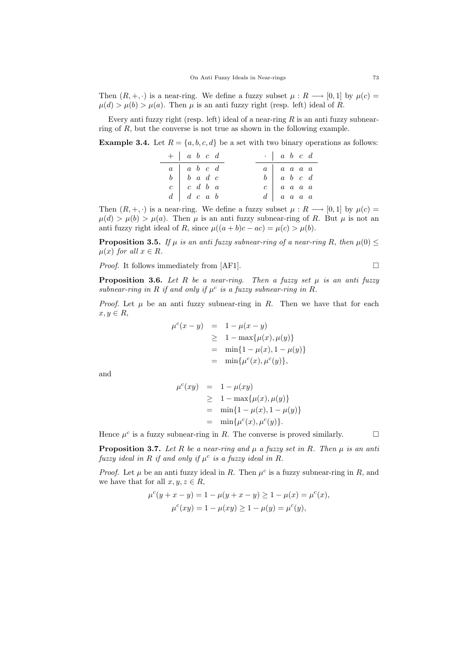Then  $(R, +, \cdot)$  is a near-ring. We define a fuzzy subset  $\mu : R \longrightarrow [0, 1]$  by  $\mu(c) =$  $\mu(d) > \mu(b) > \mu(a)$ . Then  $\mu$  is an anti-fuzzy right (resp. left) ideal of R.

Every anti-ring R is an anti-ring R is an anti-ring R is an anti-ring  $R$  is an anti-ring R is an anti-ring R is an anti-ring R is an anti-ring R is an anti-ring R is an anti-ring R is an anti-ring R is an anti-ring R is ring of  $R$ , but the converse is not true as shown in the following example.

**Example 3.4.** Let  $R = \{a, b, c, d\}$  be a set with two binary operations as follows:

| $+ a b c d$                                                                    | $\cdot$   a b c d                                                             |  |
|--------------------------------------------------------------------------------|-------------------------------------------------------------------------------|--|
|                                                                                |                                                                               |  |
| $\begin{array}{c ccccc} a & a & b & c & d \\ b & b & a & d & c \\ \end{array}$ | $\begin{array}{c ccccc}\na & a & a & a & a \\ b & a & b & c & d\n\end{array}$ |  |
| $\begin{array}{c cc} c & c & d & b & a \\ d & d & c & a & b \end{array}$       | $c \begin{array}{ccc} c & a & a & a \end{array}$                              |  |
|                                                                                | $d \mid a \mid a \mid a \mid a$                                               |  |

Then  $(R, +, \cdot)$  is a near-ring. We define a fuzzy subset  $\mu : R \longrightarrow [0, 1]$  by  $\mu(c) =$  $\mu(d) > \mu(b) > \mu(a)$ . Then  $\mu$  is an anti-fuzzy subnear-ring of R. But  $\mu$  is not an anti fuzzy right ideal of R, since  $\mu((a+b)c - ac) = \mu(c) > \mu(b)$ .

**Proposition 3.5.** If  $\mu$  is an anti-fuzzy subnear-ring of a near-ring R, then  $\mu(0) \leq$  $\mu(x)$  for all  $x \in R$ .

*Proof.* It follows immediately from [AF1].  $\Box$ 

**Proposition 3.6.** Let R be a near-ring. Then a fuzzy set  $\mu$  is an anti fuzzy subnear-ring in R if and only if  $\mu^c$  is a fuzzy subnear-ring in R.

*Proof.* Let  $\mu$  be an anti-tuzzy subnear-ring in R. Then we have that for each  $x, y \in R$ ,

$$
\mu^{c}(x - y) = 1 - \mu(x - y)
$$
  
\n
$$
\geq 1 - \max{\mu(x), \mu(y)}
$$
  
\n
$$
= \min\{1 - \mu(x), 1 - \mu(y)\}
$$
  
\n
$$
= \min{\mu^{c}(x), \mu^{c}(y)}
$$
,

and

$$
\mu^{c}(xy) = 1 - \mu(xy)
$$
  
\n
$$
\geq 1 - \max{\mu(x), \mu(y)}
$$
  
\n
$$
= \min\{1 - \mu(x), 1 - \mu(y)\}
$$
  
\n
$$
= \min{\mu^{c}(x), \mu^{c}(y)}.
$$

Hence  $\mu^c$  is a fuzzy subnear-ring in R. The converse is proved similarly.

**Proposition 3.7.** Let R be a near-ring and  $\mu$  a fuzzy set in R. Then  $\mu$  is an anti fuzzy ideal in R if and only if  $\mu^c$  is a fuzzy ideal in R.

*Proof.* Let  $\mu$  be an anti-fuzzy ideal in R. Then  $\mu^c$  is a fuzzy subnear-ring in R, and we have that for all  $x, y, z \in R$ ,

$$
\mu^{c}(y + x - y) = 1 - \mu(y + x - y) \ge 1 - \mu(x) = \mu^{c}(x),
$$
  

$$
\mu^{c}(xy) = 1 - \mu(xy) \ge 1 - \mu(y) = \mu^{c}(y),
$$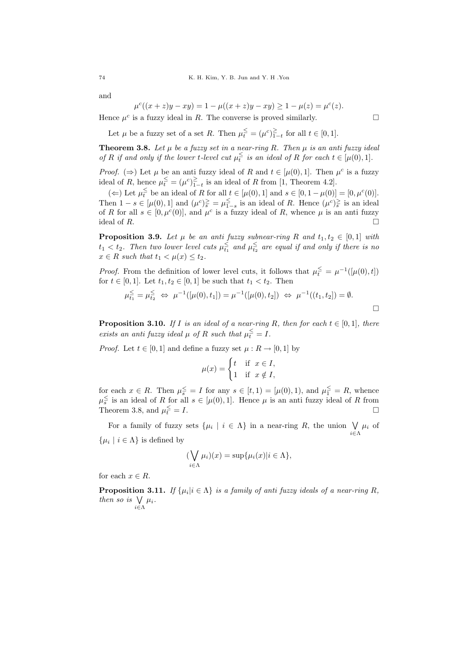and

 $\mu^c$ 

$$
(x + z)y - xy) = 1 - \mu((x + z)y - xy) \ge 1 - \mu(z) = \mu^{c}(z).
$$

Hence  $\mu^c$  is a fuzzy ideal in R. The converse is proved similarly.

Let  $\mu$  be a fuzzy set of a set R. Then  $\mu_t^{\leq} = (\mu^c)_{1-t}^{\geq}$  for all  $t \in [0,1]$ .

**Theorem 3.8.** Let  $\mu$  be a fuzzy set in a near-ring R. Then  $\mu$  is an anti fuzzy ideal of R if and only if the lower t-level cut  $\mu_t^{\leq}$  is an ideal of R for each  $t \in [\mu(0), 1]$ .

*Proof.* ( $\Rightarrow$ ) Let  $\mu$  be an anti-fuzzy ideal of R and  $t \in [\mu(0), 1]$ . Then  $\mu^c$  is a fuzzy ideal of R, hence  $\mu_t^{\leq} = (\mu^c)_{1-t}^{\geq}$  is an ideal of R from [1, Theorem 4.2].

(←) Let  $\mu_t^{\leq}$  be an ideal of R for all  $t \in [\mu(0), 1]$  and  $s \in [0, 1 - \mu(0)] = [0, \mu^c(0)].$ Then  $1-s \in [\mu(0),1]$  and  $(\mu^c)_{\overline{s}}^{\geq} = \mu_{1-s}^{\leq}$  is an ideal of R. Hence  $(\mu^c)_{\overline{s}}^{\geq}$  is an ideal of R for all  $s \in [0, \mu^c(0)]$ , and  $\mu^c$  is a fuzzy ideal of R, whence  $\mu$  is an antiideal of  $R$ .

**Proposition 3.9.** Let  $\mu$  be an anti fuzzy subnear-ring R and  $t_1, t_2 \in [0, 1]$  with  $t_1 < t_2$ . Then two lower level cuts  $\mu_{t_1}^{\le}$  and  $\mu_{t_2}^{\le}$  are equal if and only if there is no  $x \in R$  such that  $t_1 < \mu(x) \leq t_2$ .

*Proof.* From the definition of lower level cuts, it follows that  $\mu_t^{\leq} = \mu^{-1}([\mu(0), t])$ for  $t \in [0, 1]$ . Let  $t_1, t_2 \in [0, 1]$  be such that  $t_1 < t_2$ . Then

$$
\mu_{t_1}^{\leq} = \mu_{t_2}^{\leq} \iff \mu^{-1}([\mu(0), t_1]) = \mu^{-1}([\mu(0), t_2]) \iff \mu^{-1}((t_1, t_2]) = \emptyset.
$$

**Proposition 3.10.** If I is an ideal of a near-ring R, then for each  $t \in [0,1]$ , there exists an anti fuzzy ideal  $\mu$  of R such that  $\mu_t^{\leq} = I$ .

*Proof.* Let  $t \in [0, 1]$  and define a fuzzy set  $\mu : R \to [0, 1]$  by

$$
\mu(x) = \begin{cases} t & \text{if } x \in I, \\ 1 & \text{if } x \notin I, \end{cases}
$$

for each  $x \in R$ . Then  $\mu_s^{\leq} = I$  for any  $s \in [t, 1) = [\mu(0), 1)$ , and  $\mu_1^{\leq} = R$ , whence  $\mu_s^{\le}$  is an ideal of R for all  $s \in [\mu(0), 1]$ . Hence  $\mu$  is an anti-fuzzy ideal of R from Theorem 3.8, and  $\mu_t^{\leq}$  $\frac{\le}{t} = I.$ 

For a family of fuzzy sets  $\{\mu_i \mid i \in \Lambda\}$  in a near-ring R, the union  $\forall$  $\bigvee_{i \in \Lambda} \mu_i$  of  $\{\mu_i \mid i \in \Lambda\}$  is defined by

$$
(\bigvee_{i\in\Lambda}\mu_i)(x)=\sup\{\mu_i(x)|i\in\Lambda\},\
$$

for each  $x \in R$ .

**Proposition 3.11.** If  $\{\mu_i | i \in \Lambda\}$  is a family of anti fuzzy ideals of a near-ring R, then so is  $\vee$  $\bigvee_{i\in\Lambda}\mu_i.$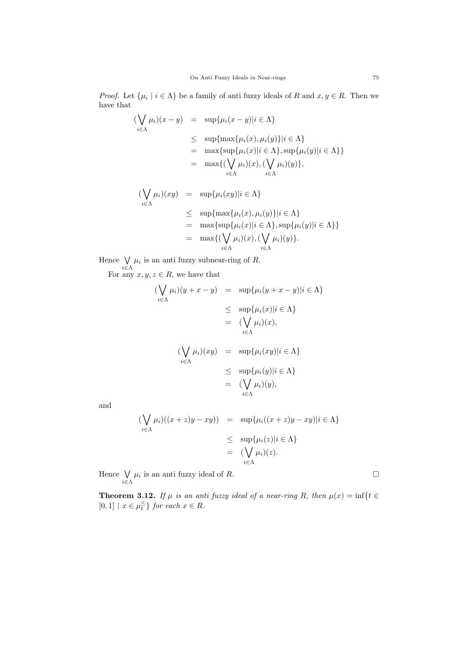*Proof.* Let  $\{\mu_i \mid i \in \Lambda\}$  be a family of anti-fuzzy ideals of R and  $x, y \in R$ . Then we have that

$$
\begin{aligned}\n(\bigvee_{i \in \Lambda} \mu_i)(x - y) &= \sup \{ \mu_i(x - y) | i \in \Lambda \} \\
&\le \sup \{ \max \{ \mu_i(x), \mu_i(y) \} | i \in \Lambda \} \\
&= \max \{ \sup \{ \mu_i(x) | i \in \Lambda \}, \sup \{ \mu_i(y) | i \in \Lambda \} \} \\
&= \max \{ (\bigvee_{i \in \Lambda} \mu_i)(x), (\bigvee_{i \in \Lambda} \mu_i)(y) \}, \\
(\bigvee \mu_i)(xy) &= \sup \{ \mu_i(xy) | i \in \Lambda \}\n\end{aligned}
$$

$$
\leq \sup\{\max\{\mu_i(x), \mu_i(y)\}|i \in \Lambda\}
$$
\n
$$
= \max\{\sup\{\mu_i(x)|i \in \Lambda\}, \sup\{\mu_i(y)|i \in \Lambda\}\}\
$$
\n
$$
= \max\{(\bigvee_{i \in \Lambda} \mu_i)(x), (\bigvee_{i \in \Lambda} \mu_i)(y)\}.
$$

Hence W  $\bigvee_{i\in\Lambda}\mu_i$  is an anti fuzzy subnear-ring of R.

For any  $x, y, z \in R$ , we have that

$$
(\bigvee_{i \in \Lambda} \mu_i)(y + x - y) = \sup \{\mu_i(y + x - y)|i \in \Lambda\}
$$
  
\n
$$
\leq \sup \{\mu_i(x)|i \in \Lambda\}
$$
  
\n
$$
= (\bigvee_{i \in \Lambda} \mu_i)(x),
$$
  
\n
$$
(\bigvee_{i \in \Lambda} \mu_i)(xy) = \sup \{\mu_i(xy)|i \in \Lambda\}
$$
  
\n
$$
\leq \sup \{\mu_i(y)|i \in \Lambda\}
$$
  
\n
$$
= (\bigvee_{i \in \Lambda} \mu_i)(y),
$$

and

$$
\begin{aligned} (\bigvee_{i \in \Lambda} \mu_i)((x+z)y - xy)) &= \sup \{ \mu_i((x+z)y - xy)| i \in \Lambda \} \\ &\le \sup \{ \mu_i(z)| i \in \Lambda \} \\ &= (\bigvee_{i \in \Lambda} \mu_i)(z). \end{aligned}
$$

Hence W  $\bigvee_{i\in\Lambda}\mu_i$  is an anti-fuzzy ideal of R.

**Theorem 3.12.** If  $\mu$  is an anti fuzzy ideal of a near-ring R, then  $\mu(x) = \inf\{t \in$  $[0,1] | x \in \mu_t^{\leq}$  for each  $x \in R$ .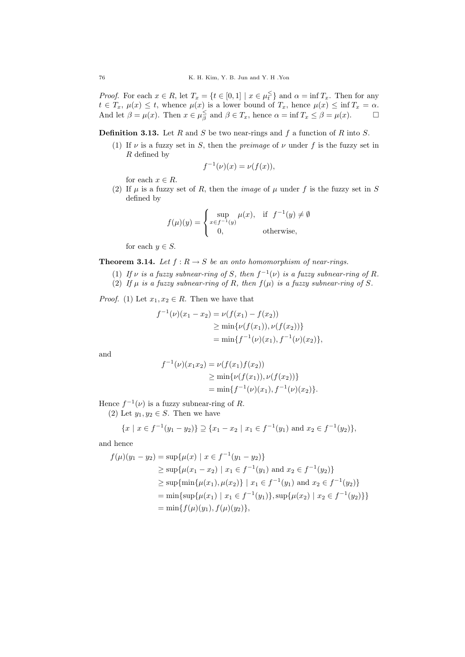*Proof.* For each  $x \in R$ , let  $T_x = \{t \in [0,1] \mid x \in \mu_t^{\leq} \}$  and  $\alpha = \inf T_x$ . Then for any  $t \in T_x$ ,  $\mu(x) \leq t$ , whence  $\mu(x)$  is a lower bound of  $T_x$ , hence  $\mu(x) \leq \inf T_x = \alpha$ . And let  $\beta = \mu(x)$ . Then  $x \in \mu_{\beta}^{\le}$  and  $\beta \in T_x$ , hence  $\alpha = \inf T_x \le \beta = \mu(x)$ .

**Definition 3.13.** Let R and S be two near-rings and f a function of R into S.

(1) If  $\nu$  is a fuzzy set in S, then the *preimage* of  $\nu$  under f is the fuzzy set in R defined by

$$
f^{-1}(\nu)(x) = \nu(f(x)),
$$

for each  $x \in R$ .

(2) If  $\mu$  is a fuzzy set of R, then the *image* of  $\mu$  under f is the fuzzy set in S defined by

$$
f(\mu)(y) = \begin{cases} \sup_{x \in f^{-1}(y)} \mu(x), & \text{if } f^{-1}(y) \neq \emptyset \\ 0, & \text{otherwise,} \end{cases}
$$

for each  $y \in S$ .

**Theorem 3.14.** Let  $f: R \to S$  be an onto homomorphism of near-rings.

- (1) If  $\nu$  is a fuzzy subnear-ring of S, then  $f^{-1}(\nu)$  is a fuzzy subnear-ring of R.
- (2) If  $\mu$  is a fuzzy subnear-ring of R, then  $f(\mu)$  is a fuzzy subnear-ring of S.

*Proof.* (1) Let  $x_1, x_2 \in R$ . Then we have that

$$
f^{-1}(\nu)(x_1 - x_2) = \nu(f(x_1) - f(x_2))
$$
  
\n
$$
\geq \min{\nu(f(x_1)), \nu(f(x_2))}
$$
  
\n
$$
= \min{f^{-1}(\nu)(x_1), f^{-1}(\nu)(x_2)},
$$

and

$$
f^{-1}(\nu)(x_1x_2) = \nu(f(x_1)f(x_2))
$$
  
\n
$$
\geq \min{\nu(f(x_1)), \nu(f(x_2))}
$$
  
\n
$$
= \min{f^{-1}(\nu)(x_1), f^{-1}(\nu)(x_2)}.
$$

Hence  $f^{-1}(\nu)$  is a fuzzy subnear-ring of R.

(2) Let  $y_1, y_2 \in S$ . Then we have

$$
\{x \mid x \in f^{-1}(y_1 - y_2)\} \supseteq \{x_1 - x_2 \mid x_1 \in f^{-1}(y_1) \text{ and } x_2 \in f^{-1}(y_2)\},\
$$

and hence

$$
f(\mu)(y_1 - y_2) = \sup{\mu(x) \mid x \in f^{-1}(y_1 - y_2) }
$$
  
\n
$$
\geq \sup{\mu(x_1 - x_2) \mid x_1 \in f^{-1}(y_1) \text{ and } x_2 \in f^{-1}(y_2) }
$$
  
\n
$$
\geq \sup{\min{\mu(x_1), \mu(x_2)} \mid x_1 \in f^{-1}(y_1) \text{ and } x_2 \in f^{-1}(y_2) }
$$
  
\n
$$
= \min{\sup{\mu(x_1) \mid x_1 \in f^{-1}(y_1) }, \sup{\mu(x_2) \mid x_2 \in f^{-1}(y_2) }
$$
  
\n
$$
= \min{f(\mu)(y_1), f(\mu)(y_2) },
$$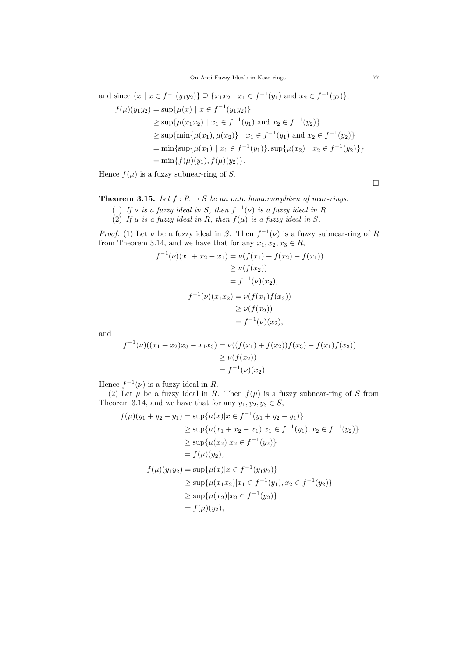On Anti Fuzzy Ideals in Near-rings 77

and since  $\{x \mid x \in f^{-1}(y_1y_2)\} \supseteq \{x_1x_2 \mid x_1 \in f^{-1}(y_1) \text{ and } x_2 \in f^{-1}(y_2)\},\$  $f(\mu)(y_1y_2) = \sup{\mu(x) | x \in f^{-1}(y_1y_2)}$  $\geq \sup \{ \mu(x_1 x_2) \mid x_1 \in f^{-1}(y_1) \text{ and } x_2 \in f^{-1}(y_2) \}$  $\geq$  sup $\{\min\{\mu(x_1), \mu(x_2)\} \mid x_1 \in f^{-1}(y_1) \text{ and } x_2 \in f^{-1}(y_2)\}\$ = min{sup{ $\mu(x_1) | x_1 \in f^{-1}(y_1)$ }, sup{ $\mu(x_2) | x_2 \in f^{-1}(y_2)$ }}  $=$  min{ $f(\mu)(y_1), f(\mu)(y_2)$ }.

Hence  $f(\mu)$  is a fuzzy subnear-ring of S.

**Theorem 3.15.** Let  $f : R \to S$  be an onto homomorphism of near-rings.

- (1) If  $\nu$  is a fuzzy ideal in S, then  $f^{-1}(\nu)$  is a fuzzy ideal in R.
- (2) If  $\mu$  is a fuzzy ideal in R, then  $f(\mu)$  is a fuzzy ideal in S.

*Proof.* (1) Let  $\nu$  be a fuzzy ideal in S. Then  $f^{-1}(\nu)$  is a fuzzy subnear-ring of R from Theorem 3.14, and we have that for any  $x_1, x_2, x_3 \in R$ ,

$$
f^{-1}(\nu)(x_1 + x_2 - x_1) = \nu(f(x_1) + f(x_2) - f(x_1))
$$
  
\n
$$
\geq \nu(f(x_2))
$$
  
\n
$$
= f^{-1}(\nu)(x_2),
$$
  
\n
$$
f^{-1}(\nu)(x_1x_2) = \nu(f(x_1)f(x_2))
$$
  
\n
$$
\geq \nu(f(x_2))
$$
  
\n
$$
= f^{-1}(\nu)(x_2),
$$

and

$$
f^{-1}(\nu)((x_1 + x_2)x_3 - x_1x_3) = \nu((f(x_1) + f(x_2))f(x_3) - f(x_1)f(x_3))
$$
  
\n
$$
\geq \nu(f(x_2))
$$
  
\n
$$
= f^{-1}(\nu)(x_2).
$$

Hence  $f^{-1}(\nu)$  is a fuzzy ideal in R.

(2) Let  $\mu$  be a fuzzy ideal in R. Then  $f(\mu)$  is a fuzzy subnear-ring of S from Theorem 3.14, and we have that for any  $y_1, y_2, y_3 \in S$ ,

$$
f(\mu)(y_1 + y_2 - y_1) = \sup \{ \mu(x) | x \in f^{-1}(y_1 + y_2 - y_1) \}
$$
  
\n
$$
\geq \sup \{ \mu(x_1 + x_2 - x_1) | x_1 \in f^{-1}(y_1), x_2 \in f^{-1}(y_2) \}
$$
  
\n
$$
\geq \sup \{ \mu(x_2) | x_2 \in f^{-1}(y_2) \}
$$
  
\n
$$
= f(\mu)(y_2),
$$
  
\n
$$
f(\mu)(y_1y_2) = \sup \{ \mu(x) | x \in f^{-1}(y_1y_2) \}
$$
  
\n
$$
\geq \sup \{ \mu(x_1x_2) | x_1 \in f^{-1}(y_1), x_2 \in f^{-1}(y_2) \}
$$
  
\n
$$
\geq \sup \{ \mu(x_2) | x_2 \in f^{-1}(y_2) \}
$$
  
\n
$$
= f(\mu)(y_2),
$$

 $\Box$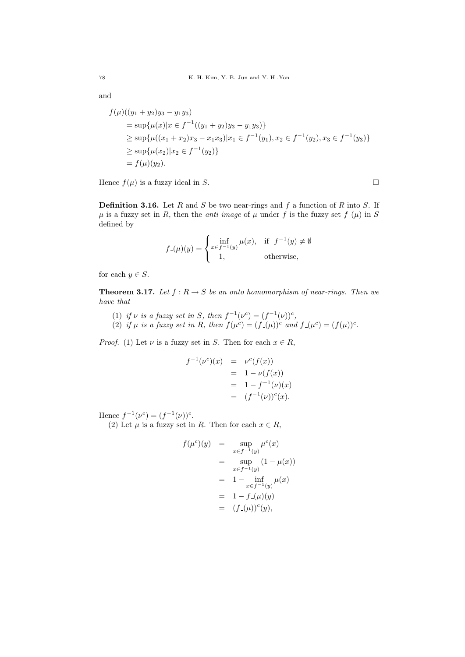and

$$
f(\mu)((y_1 + y_2)y_3 - y_1y_3)
$$
  
=  $\sup{\mu(x)|x \in f^{-1}((y_1 + y_2)y_3 - y_1y_3)}$   
 $\ge \sup{\mu((x_1 + x_2)x_3 - x_1x_3)|x_1 \in f^{-1}(y_1), x_2 \in f^{-1}(y_2), x_3 \in f^{-1}(y_3)}$   
 $\ge \sup{\mu(x_2)|x_2 \in f^{-1}(y_2)}$   
=  $f(\mu)(y_2).$ 

Hence  $f(\mu)$  is a fuzzy ideal in S.

**Definition 3.16.** Let R and S be two near-rings and f a function of R into S. If  $\mu$  is a fuzzy set in R, then the *anti* image of  $\mu$  under f is the fuzzy set  $f(\mu)$  in S defined by

$$
f_{-}(\mu)(y) = \begin{cases} \inf_{x \in f^{-1}(y)} \mu(x), & \text{if } f^{-1}(y) \neq \emptyset \\ 1, & \text{otherwise,} \end{cases}
$$

for each  $y \in S$ .

**Theorem 3.17.** Let  $f : R \to S$  be an onto homomorphism of near-rings. Then we have that

- (1) if v is a fuzzy set in S, then  $f^{-1}(\nu^c) = (f^{-1}(\nu))^c$ ,
- (2) if  $\mu$  is a fuzzy set in R, then  $f(\mu^c) = (f(\mu))^c$  and  $f(\mu^c) = (f(\mu))^c$ .

*Proof.* (1) Let  $\nu$  is a fuzzy set in S. Then for each  $x \in R$ ,

$$
f^{-1}(\nu^{c})(x) = \nu^{c}(f(x))
$$
  
= 1 - \nu(f(x))  
= 1 - f^{-1}(\nu)(x)  
= (f^{-1}(\nu))^{c}(x).

Hence  $f^{-1}(\nu^c) = (f^{-1}(\nu))^c$ .

(2) Let  $\mu$  is a fuzzy set in R. Then for each  $x \in R$ ,

$$
f(\mu^{c})(y) = \sup_{x \in f^{-1}(y)} \mu^{c}(x)
$$
  
= 
$$
\sup_{x \in f^{-1}(y)} (1 - \mu(x))
$$
  
= 
$$
1 - \inf_{x \in f^{-1}(y)} \mu(x)
$$
  
= 
$$
1 - f_{-}(\mu)(y)
$$
  
= 
$$
(f_{-}(\mu))^{c}(y),
$$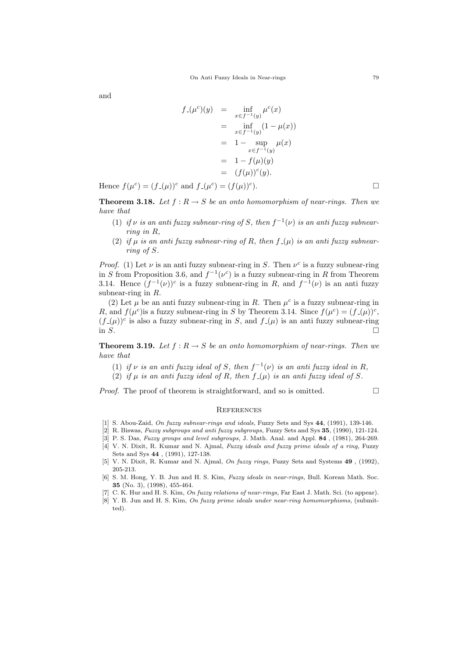and

$$
f_{-}(\mu^{c})(y) = \inf_{x \in f^{-1}(y)} \mu^{c}(x)
$$
  
= 
$$
\inf_{x \in f^{-1}(y)} (1 - \mu(x))
$$
  
= 
$$
1 - \sup_{x \in f^{-1}(y)} \mu(x)
$$
  
= 
$$
1 - f(\mu)(y)
$$
  
= 
$$
(f(\mu))^{c}(y).
$$

Hence  $f(\mu^c) = (f_-(\mu))^c$  and  $f_-(\mu^c) = (f(\mu))^c$  $\Box$ 

**Theorem 3.18.** Let  $f : R \to S$  be an onto homomorphism of near-rings. Then we have that

- (1) if  $\nu$  is an anti fuzzy subnear-ring of S, then  $f^{-1}(\nu)$  is an anti fuzzy subnearring in R,
- (2) if  $\mu$  is an anti-fuzzy subnear-ring of R, then  $f(\mu)$  is an anti-fuzzy subnearring of S.

*Proof.* (1) Let  $\nu$  is an anti-tuzzy subnear-ring in S. Then  $\nu^c$  is a fuzzy subnear-ring in S from Proposition 3.6, and  $f^{-1}(\nu^c)$  is a fuzzy subnear-ring in R from Theorem 3.14. Hence  $(f^{-1}(\nu))^c$  is a fuzzy subnear-ring in R, and  $f^{-1}(\nu)$  is an antisubnear-ring in R.

(2) Let  $\mu$  be an anti-fuzzy subnear-ring in R. Then  $\mu^c$  is a fuzzy subnear-ring in R, and  $f(\mu^c)$  is a fuzzy subnear-ring in S by Theorem 3.14. Since  $f(\mu^c) = (f(\mu))^c$ ,  $(f<sub>-(\mu)</sub>)<sup>c</sup>$  is also a fuzzy subnear-ring in S, and  $f<sub>-(\mu)</sub>$  is an anti fuzzy subnear-ring in  $S$ .

**Theorem 3.19.** Let  $f : R \to S$  be an onto homomorphism of near-rings. Then we have that

- (1) if v is an anti fuzzy ideal of S, then  $f^{-1}(\nu)$  is an anti fuzzy ideal in R,
- (2) if  $\mu$  is an anti-fuzzy ideal of R, then  $f(\mu)$  is an anti-fuzzy ideal of S.

*Proof.* The proof of theorem is straightforward, and so is omitted.  $\Box$ 

#### **REFERENCES**

- [1] S. Abou-Zaid, On fuzzy subnear-rings and ideals, Fuzzy Sets and Sys 44, (1991), 139-146.
- [2] R. Biswas, Fuzzy subgroups and anti fuzzy subgroups, Fuzzy Sets and Sys 35, (1990), 121-124.
- [3] P. S. Das, Fuzzy groups and level subgroups, J. Math. Anal. and Appl. 84, (1981), 264-269.
- [4] V. N. Dixit, R. Kumar and N. Ajmal, Fuzzy ideals and fuzzy prime ideals of a ring, Fuzzy Sets and Sys 44 , (1991), 127-138.
- [5] V. N. Dixit, R. Kumar and N. Ajmal, On fuzzy rings, Fuzzy Sets and Systems 49 , (1992), 205-213.
- [6] S. M. Hong, Y. B. Jun and H. S. Kim, Fuzzy ideals in near-rings, Bull. Korean Math. Soc. 35 (No. 3), (1998), 455-464.
- [7] C. K. Hur and H. S. Kim, On fuzzy relations of near-rings, Far East J. Math. Sci. (to appear).
- [8] Y. B. Jun and H. S. Kim, On fuzzy prime ideals under near-ring homomorphisms, (submitted).